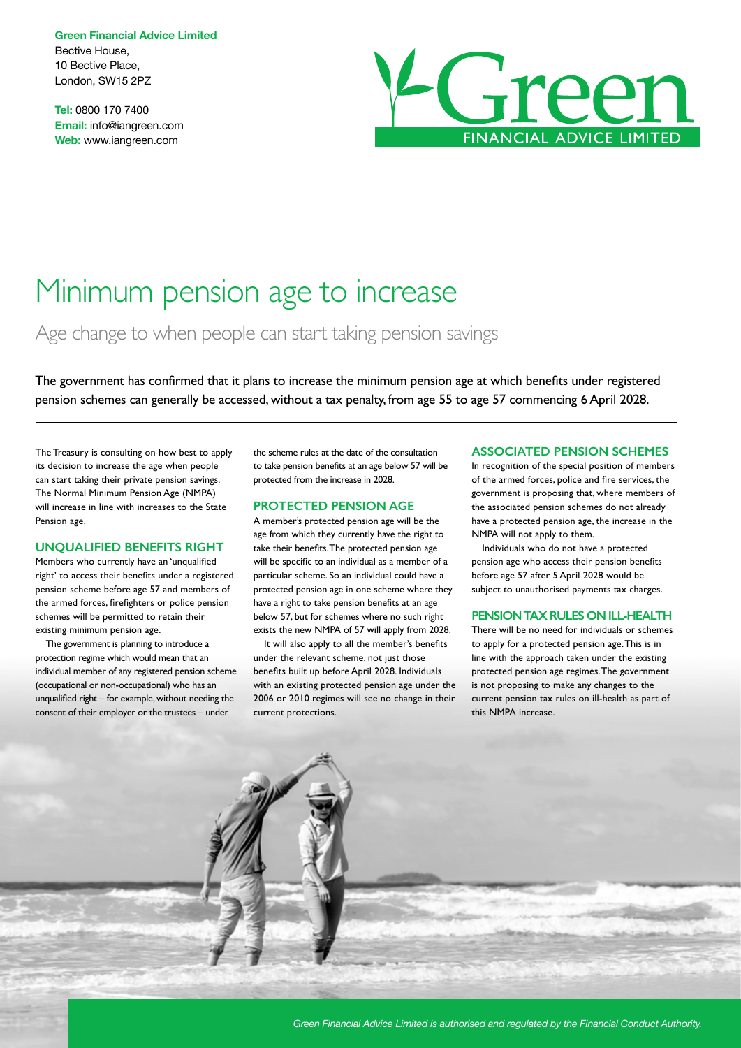**Green Financial Advice Limited** Bective House, 10 Bective Place, London, SW15 2PZ

**Tel:** 0800 170 7400 **Email:** info@iangreen.com **Web:** www.iangreen.com



# Minimum pension age to increase

Age change to when people can start taking pension savings

The government has confirmed that it plans to increase the minimum pension age at which benefits under registered pension schemes can generally be accessed, without a tax penalty, from age 55 to age 57 commencing 6 April 2028.

The Treasury is consulting on how best to apply its decision to increase the age when people can start taking their private pension savings. The Normal Minimum Pension Age (NMPA) will increase in line with increases to the State Pension age.

#### **UNQUALIFIED BENEFITS RIGHT**

Members who currently have an 'unqualified right' to access their benefits under a registered pension scheme before age 57 and members of the armed forces, firefighters or police pension schemes will be permitted to retain their existing minimum pension age.

The government is planning to introduce a protection regime which would mean that an individual member of any registered pension scheme (occupational or non-occupational) who has an unqualified right – for example, without needing the consent of their employer or the trustees – under

the scheme rules at the date of the consultation to take pension benefits at an age below 57 will be protected from the increase in 2028.

#### **PROTECTED PENSION AGE**

A member's protected pension age will be the age from which they currently have the right to take their benefits. The protected pension age will be specific to an individual as a member of a particular scheme. So an individual could have a protected pension age in one scheme where they have a right to take pension benefits at an age below 57, but for schemes where no such right exists the new NMPA of 57 will apply from 2028.

It will also apply to all the member's benefits under the relevant scheme, not just those benefits built up before April 2028. Individuals with an existing protected pension age under the 2006 or 2010 regimes will see no change in their current protections.

#### **ASSOCIATED PENSION SCHEMES**

In recognition of the special position of members of the armed forces, police and fire services, the government is proposing that, where members of the associated pension schemes do not already have a protected pension age, the increase in the NMPA will not apply to them.

Individuals who do not have a protected pension age who access their pension benefits before age 57 after 5 April 2028 would be subject to unauthorised payments tax charges.

#### **PENSION TAX RULES ON ILL-HEALTH**

There will be no need for individuals or schemes to apply for a protected pension age. This is in line with the approach taken under the existing protected pension age regimes. The government is not proposing to make any changes to the current pension tax rules on ill-health as part of this NMPA increase.